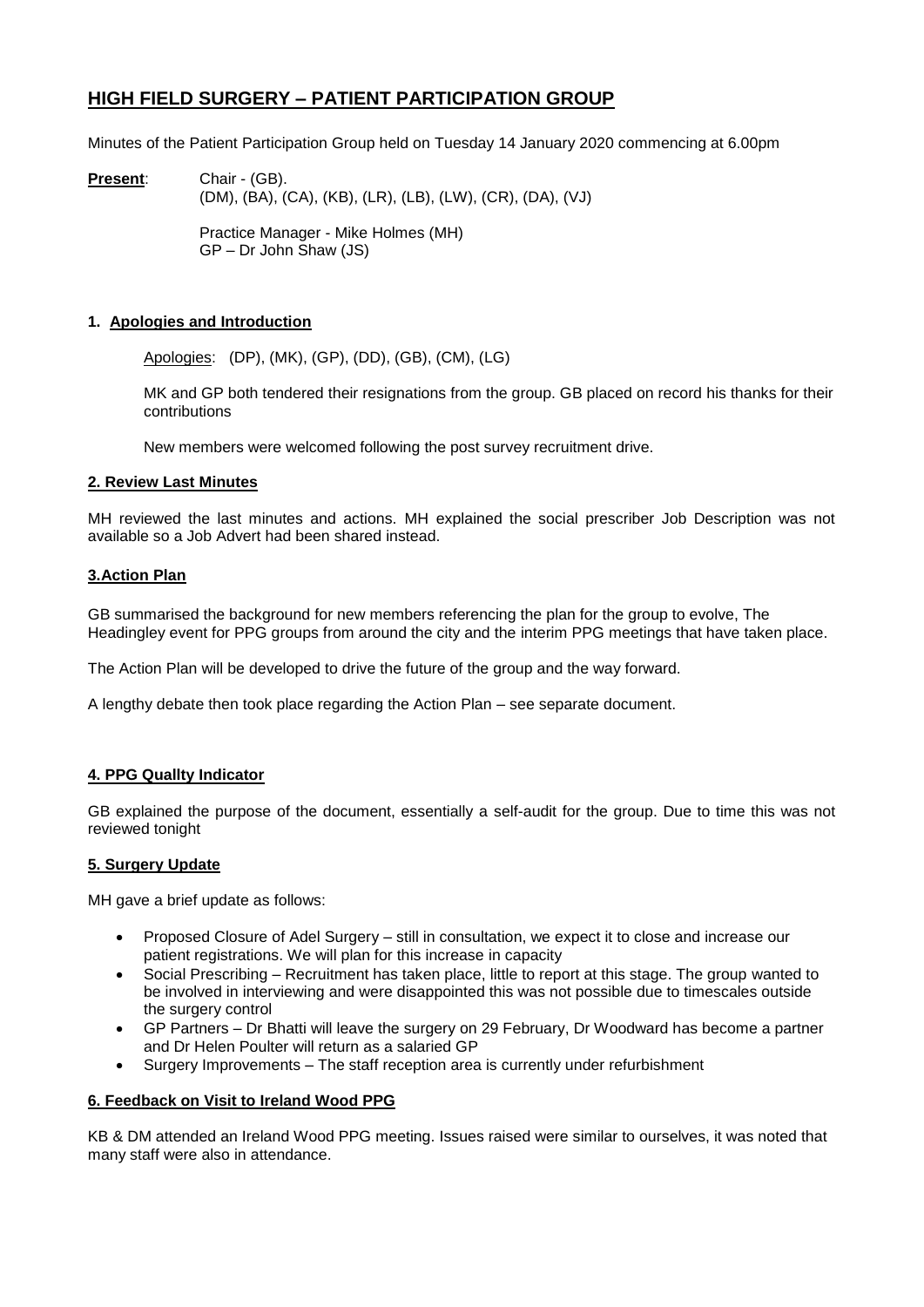# **HIGH FIELD SURGERY – PATIENT PARTICIPATION GROUP**

Minutes of the Patient Participation Group held on Tuesday 14 January 2020 commencing at 6.00pm

**Present**: Chair - (GB). (DM), (BA), (CA), (KB), (LR), (LB), (LW), (CR), (DA), (VJ)

> Practice Manager - Mike Holmes (MH) GP – Dr John Shaw (JS)

### **1. Apologies and Introduction**

Apologies: (DP), (MK), (GP), (DD), (GB), (CM), (LG)

MK and GP both tendered their resignations from the group. GB placed on record his thanks for their contributions

New members were welcomed following the post survey recruitment drive.

#### **2. Review Last Minutes**

MH reviewed the last minutes and actions. MH explained the social prescriber Job Description was not available so a Job Advert had been shared instead.

#### **3.Action Plan**

GB summarised the background for new members referencing the plan for the group to evolve, The Headingley event for PPG groups from around the city and the interim PPG meetings that have taken place.

The Action Plan will be developed to drive the future of the group and the way forward.

A lengthy debate then took place regarding the Action Plan – see separate document.

### **4. PPG Quallty Indicator**

GB explained the purpose of the document, essentially a self-audit for the group. Due to time this was not reviewed tonight

### **5. Surgery Update**

MH gave a brief update as follows:

- Proposed Closure of Adel Surgery still in consultation, we expect it to close and increase our patient registrations. We will plan for this increase in capacity
- Social Prescribing Recruitment has taken place, little to report at this stage. The group wanted to be involved in interviewing and were disappointed this was not possible due to timescales outside the surgery control
- GP Partners Dr Bhatti will leave the surgery on 29 February, Dr Woodward has become a partner and Dr Helen Poulter will return as a salaried GP
- Surgery Improvements The staff reception area is currently under refurbishment

#### **6. Feedback on Visit to Ireland Wood PPG**

KB & DM attended an Ireland Wood PPG meeting. Issues raised were similar to ourselves, it was noted that many staff were also in attendance.